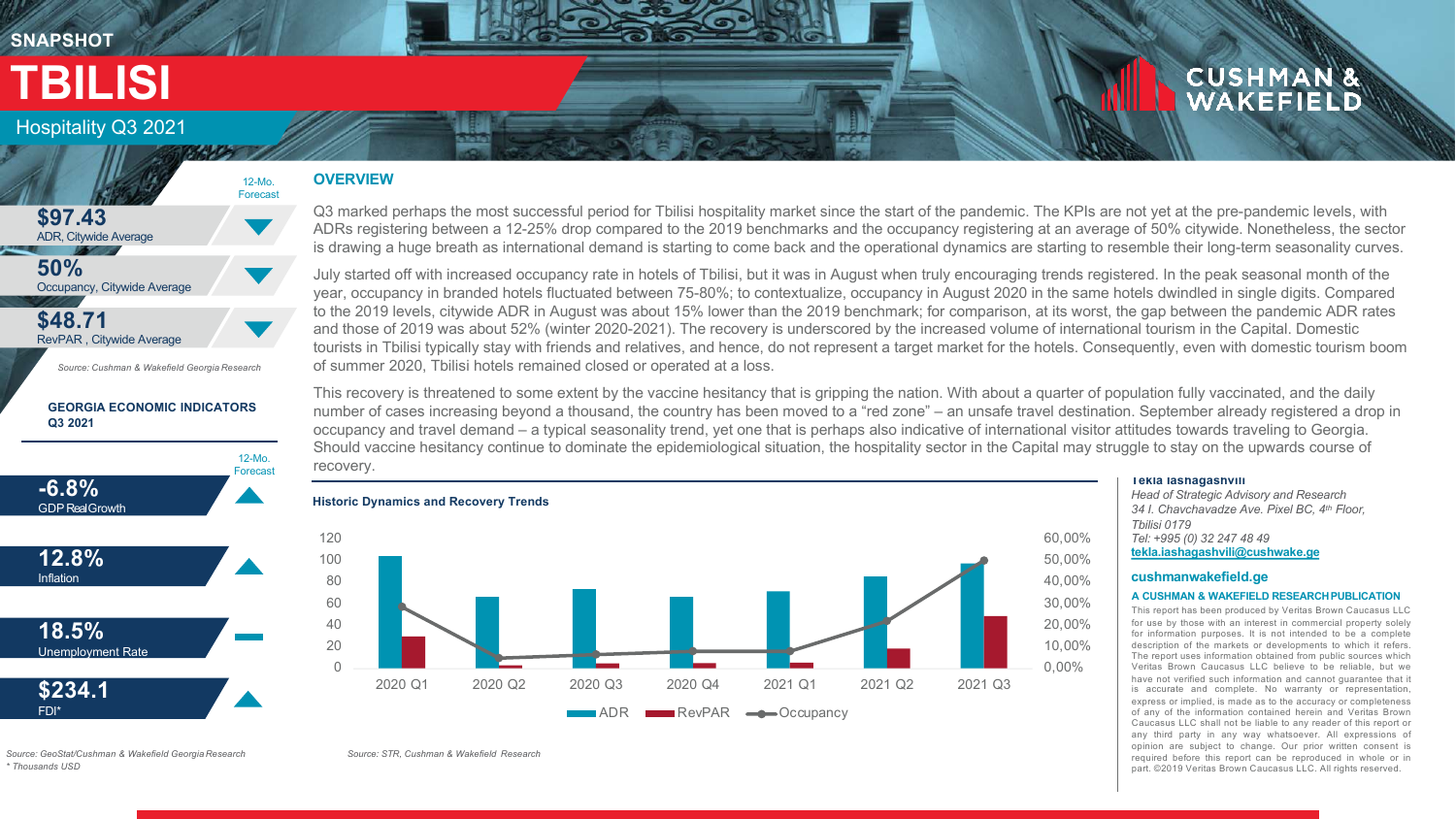## **SNAPSHOT**

# **TBILISI**

## Hospitality Q3 2021







*Source: Cushman & Wakefield Georgia Research*

#### **GEORGIA ECONOMIC INDICATORS Q3 2021**



**OVERVIEW**

12-Mo. Forecast

> Q3 marked perhaps the most successful period for Tbilisi hospitality market since the start of the pandemic. The KPIs are not yet at the pre-pandemic levels, with ADRs registering between a 12-25% drop compared to the 2019 benchmarks and the occupancy registering at an average of 50% citywide. Nonetheless, the sector is drawing a huge breath as international demand is starting to come back and the operational dynamics are starting to resemble their long-term seasonality curves.

> July started off with increased occupancy rate in hotels of Tbilisi, but it was in August when truly encouraging trends registered. In the peak seasonal month of the year, occupancy in branded hotels fluctuated between 75-80%; to contextualize, occupancy in August 2020 in the same hotels dwindled in single digits. Compared to the 2019 levels, citywide ADR in August was about 15% lower than the 2019 benchmark; for comparison, at its worst, the gap between the pandemic ADR rates and those of 2019 was about 52% (winter 2020-2021). The recovery is underscored by the increased volume of international tourism in the Capital. Domestic tourists in Tbilisi typically stay with friends and relatives, and hence, do not represent a target market for the hotels. Consequently, even with domestic tourism boom of summer 2020, Tbilisi hotels remained closed or operated at a loss.

> This recovery is threatened to some extent by the vaccine hesitancy that is gripping the nation. With about a quarter of population fully vaccinated, and the daily number of cases increasing beyond a thousand, the country has been moved to a "red zone" – an unsafe travel destination. September already registered a drop in occupancy and travel demand – a typical seasonality trend, yet one that is perhaps also indicative of international visitor attitudes towards traveling to Georgia. Should vaccine hesitancy continue to dominate the epidemiological situation, the hospitality sector in the Capital may struggle to stay on the upwards course of recovery.



#### **Tekla Iashagashvili**

*Head of Strategic Advisory and Research 34 I. Chavchavadze Ave. Pixel BC, 4th Floor, Tbilisi 0179 Tel: +995 (0) 32 247 48 49* **[tekla.iashagashvili@cushwake.ge](mailto:tekla.iashagashvili@cushwake.ge)**

**CUSHMAN &**<br>WAKEFIELD

#### **cushmanwakefield.ge**

#### **A CUSHMAN & WAKEFIELD RESEARCHPUBLICATION**

This report has been produced by Veritas Brown Caucasus LLC for use by those with an interest in commercial property solely for information purposes. It is not intended to be a complete description of the markets or developments to which it refers. The report uses information obtained from public sources which Veritas Brown Caucasus LLC believe to be reliable, but we have not verified such information and cannot guarantee that it is accurate and complete. No warranty or representation, express or implied, is made as to the accuracy or completeness of any of the information contained herein and Veritas Brown Caucasus LLC shall not be liable to any reader of this report or any third party in any way whatsoever. All expressions of opinion are subject to change. Our prior written consent is required before this report can be reproduced in whole or in part. ©2019 Veritas Brown Caucasus LLC. All rights reserved.

*Source: GeoStat/Cushman & Wakefield Georgia Research \* Thousands USD*

*Source: STR, Cushman & Wakefield Research*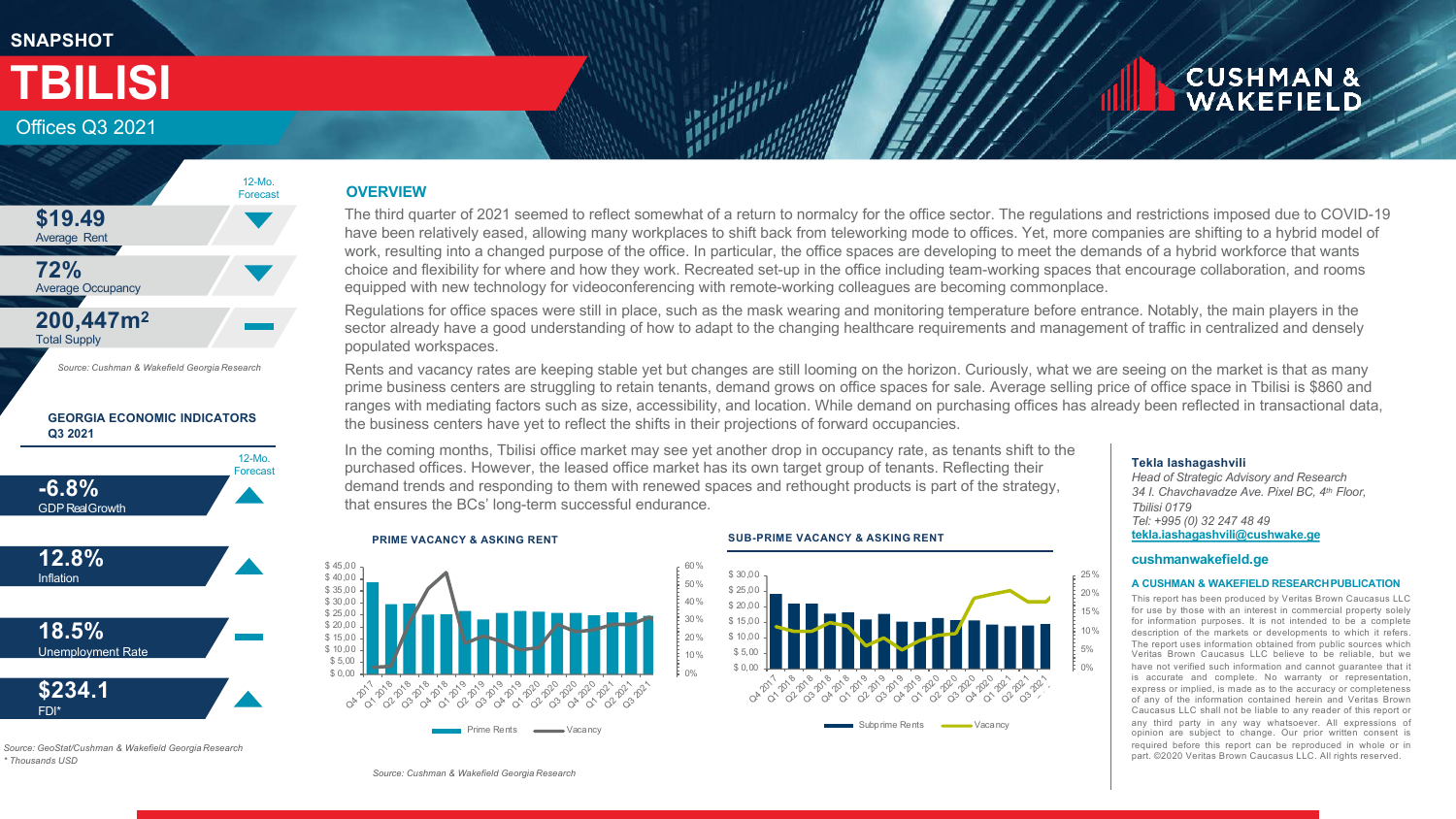## **SNAPSHOT**

## **CUSHMAN &** WAKEFIELD

## Offices Q3 2021

**TBILISI**



#### **GEORGIA ECONOMIC INDICATORS Q3 2021**





*Source: GeoStat/Cushman & Wakefield Georgia Research \* Thousands USD*

### **OVERVIEW**

The third quarter of 2021 seemed to reflect somewhat of a return to normalcy for the office sector. The regulations and restrictions imposed due to COVID-19 have been relatively eased, allowing many workplaces to shift back from teleworking mode to offices. Yet, more companies are shifting to a hybrid model of work, resulting into a changed purpose of the office. In particular, the office spaces are developing to meet the demands of a hybrid workforce that wants choice and flexibility for where and how they work. Recreated set-up in the office including team-working spaces that encourage collaboration, and rooms equipped with new technology for videoconferencing with remote-working colleagues are becoming commonplace.

Regulations for office spaces were still in place, such as the mask wearing and monitoring temperature before entrance. Notably, the main players in the sector already have a good understanding of how to adapt to the changing healthcare requirements and management of traffic in centralized and densely populated workspaces.

Rents and vacancy rates are keeping stable yet but changes are still looming on the horizon. Curiously, what we are seeing on the market is that as many prime business centers are struggling to retain tenants, demand grows on office spaces for sale. Average selling price of office space in Tbilisi is \$860 and ranges with mediating factors such as size, accessibility, and location. While demand on purchasing offices has already been reflected in transactional data, the business centers have yet to reflect the shifts in their projections of forward occupancies.

In the coming months, Tbilisi office market may see yet another drop in occupancy rate, as tenants shift to the purchased offices. However, the leased office market has its own target group of tenants. Reflecting their demand trends and responding to them with renewed spaces and rethought products is part of the strategy, that ensures the BCs' long-term successful endurance.



#### **PRIME VACANCY & ASKING RENT SUB-PRIME VACANCY & ASKING RENT**



#### **Tekla Iashagashvili**

*Head of Strategic Advisory and Research 34 I. Chavchavadze Ave. Pixel BC, 4th Floor, Tbilisi 0179 Tel: +995 (0) 32 247 48 49* **[tekla.iashagashvili@cushwake.ge](mailto:tekla.iashagashvili@cushwake.ge)**

#### **cushmanwakefield.ge**

#### **A CUSHMAN & WAKEFIELD RESEARCHPUBLICATION**

This report has been produced by Veritas Brown Caucasus LLC for use by those with an interest in commercial property solely for information purposes. It is not intended to be a complete description of the markets or developments to which it refers. The report uses information obtained from public sources which Veritas Brown Caucasus LLC believe to be reliable, but we have not verified such information and cannot guarantee that it is accurate and complete. No warranty or representation, express or implied, is made as to the accuracy or completeness of any of the information contained herein and Veritas Brown Caucasus LLC shall not be liable to any reader of this report or any third party in any way whatsoever. All expressions of opinion are subject to change. Our prior written consent is required before this report can be reproduced in whole or in part. ©2020 Veritas Brown Caucasus LLC. All rights reserved.

*Source: Cushman & Wakefield Georgia Research*